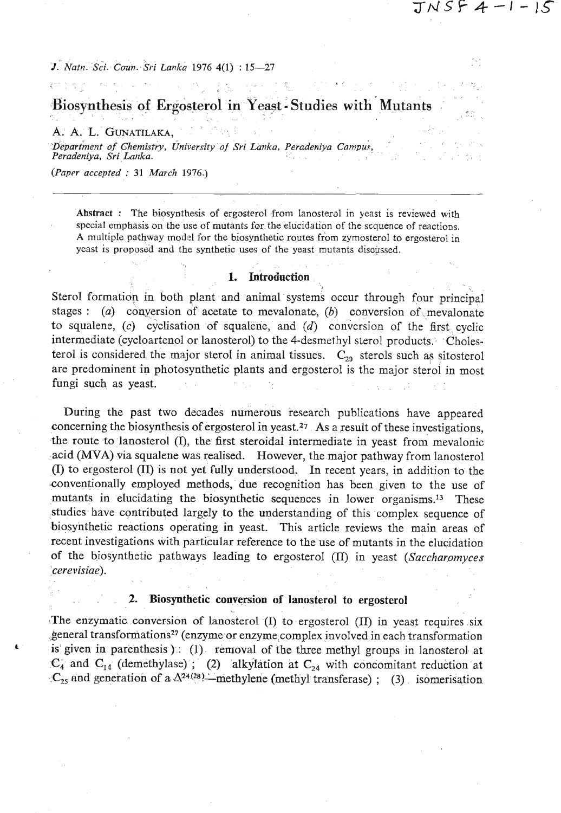# Biosynthesis of Ergosterol in Yeast - Studies with Mutants

#### A. A. L. GUNATILAKA.

*Department of Chemistry, University of Sri Lanka, Peradeniya Campus. Peradeniya, Sri Lanka.* 

*(Pap~r accepted* : *31 March* 1976.)

**Abstract** : The biosynthesis of ergosterol from lanosterol in yeast is reviewed with special emphasis on the use of mutants for the elucidation of the sequence of reactions. A multiple pathway model for the biosynthetic routes from zymosterol to ergosterol in yeast is proposed and the synthetic uses of the yeast mutants discussed.

#### **1.** Introduction

Sterol formation in both plant and animal systems occur through four principal stages : (a) conversion of acetate to mevalonate, *(b)* conversion of- mevalonate to squalene, (c) cyclisation of squalene, and *(d)* conversion of the first cyclic intermediate (cycloartenol or lanosterol) to the 4-desmethyl sterol products. Cholesterol is considered the major sterol in animal tissues.  $C_{29}$  sterols such as sitosterol are predominent in photosynthetic plants and ergosterol is the major sterol in most fungi such as yeast.

During the past two decades numerous research publications have appeared concerning the biosynthesis of ergosterol in yeast.27 As a result of these investigations, the route to lanosterol (I), the first steroidal intermediate in yeast from mevalonic acid (MVA) via squalene was realised. However, the major pathway from lanosterol (I) to ergosterol (11) is not yet fully understood. In recent years, in addition to the conventionally employed methods, due recognition has been given to the use of mutants in elucidating the biosynthetic sequences in lower organisms.<sup>13</sup> These studies have contributed largely to the understanding of this complex sequence of biosynthetic reactions operating in yeast. This article reviews the main areas of recent investigations with particular reference to the use of mutants in the elucidation of the biosynthetic pathways leading to ergosterol (II) in yeast (Saccharomyces cerevisiae).

#### 2. Biosynthetic conversion of lanosterol to ergosterol

. .

The enzymatic conversion of lanosterol (I) to ergosterol (11) in yeast requires six general transformations<sup>27</sup> (enzyme or enzyme complex involved in each transformation is given in parenthesis )  $(1)$  removal of the three methyl groups in lanosterol at  $C_4$  and  $C_{14}$  (demethylase) ; (2) alkylation at  $C_{24}$  with concomitant reduction at  $C_{25}$  and generation of a  $\Delta^{24(28)}$ —methylene (methyl transferase) ; (3) isomerisation

 $TNSF$   $4 - 1 -$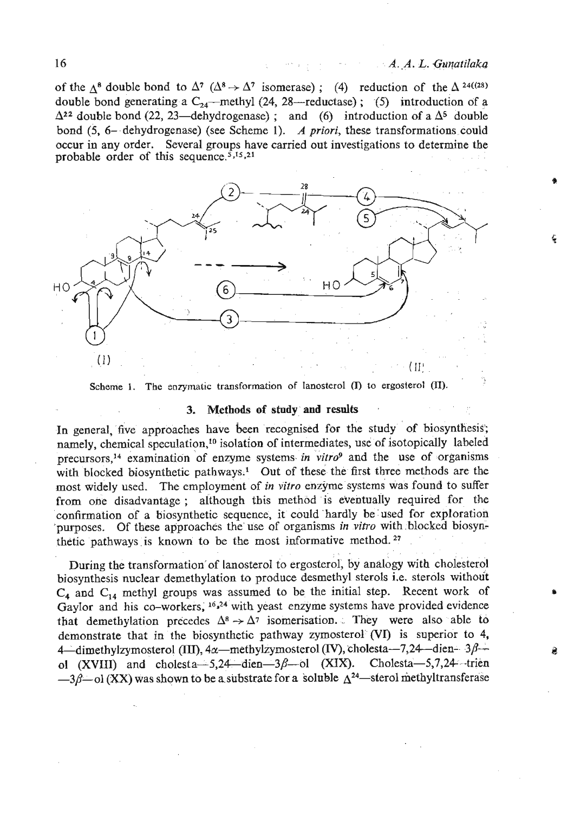### A. A. L. Gunatilaka

of the  $\Delta^8$  double bond to  $\Delta^7$  ( $\Delta^8 \rightarrow \Delta^7$  isomerase); (4) reduction of the  $\Delta^{24((28))}$ double bond generating a  $C_{24}$ --methyl (24, 28-reductase); (5) introduction of a  $\Delta^{22}$  double bond (22, 23—dehydrogenase) ; and (6) introduction of a  $\Delta^5$  double bond (5, 6- dehydrogenase) (see Scheme 1). *A priori,* these transformations could occur in any order. Several groups have carried out investigations to determine the probable order of this sequence. $\frac{5,15,21}{2}$ 



**Scheme 1.** The enzymatic transformation of lanosterol **(I)** to ergosterol **(II)**.

#### **3. Methods of stndy and results**

In general, five approaches have **been** recognised for the study of biosynthesis'; namely, chemical speculation,<sup>10</sup> isolation of intermediates, use of isotopically labeled precursors,<sup>14</sup> examination of enzyme systems in vitro<sup>9</sup> and the use of organisms with blocked biosynthetic pathways.<sup>1</sup> Out of these the first three methods are the most widely used. The employment of *in vitro* enzyme systems was found to suffer from one disadvantage ; although tbis method is eventually required for the confirmation of a biosynthetic sequence, it could hardly be used for exploration 'purposes. Of these approaches the use of organisms *in vifro* with blocked biosynthetic pathways is known to be the most informative method. **<sup>27</sup>**

During the transforrnation'of lanosterol to ergosterol, by analogy with cholesterol biosynthesis nuclear demethylation to produce desmethyl sterols i.e. sterols without **C,** and *C,,* methyl groups was assumed to be the initial step. Recent work of Gaylor and his co-workers, <sup>16,24</sup> with yeast enzyme systems have provided evidence that demethylation precedes  $\Delta^8 \rightarrow \Delta^7$  isomerisation. They were also able to demonstrate that in the biosynthetic pathway zymosterol **(VI)** is superior to 4, 4—dimethylzymosterol (III),  $4\alpha$ —methylzymosterol (IV), cholesta—7,24—dien-  $3\beta$  ol (XVIII) and cholesta $-5,24$ -dien $-3\beta$ -ol (XIX). Cholesta $-5,7,24$ -trien  $-3\beta$ -ol (XX) was shown to be a substrate for a soluble  $\Delta^{24}$ -sterol methyltransferase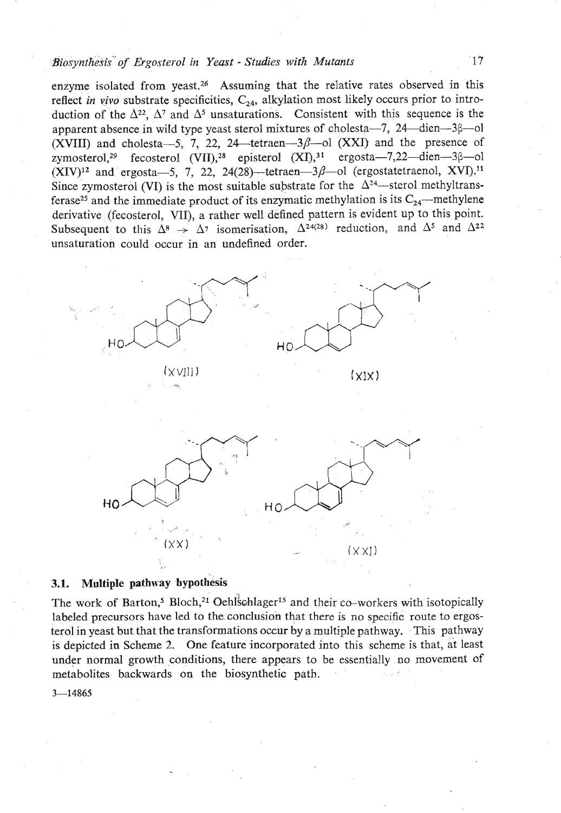### *Biosynthesis' of Ergosterol* **in** *Yeast* - *Studies with Mutants* **17**

enzyme isolated from yeast.<sup>26</sup> Assuming that the relative rates observed in this reflect *in vivo* substrate specificities,  $C_{24}$ , alkylation most likely occurs prior to introduction of the  $\Delta^{22}$ ,  $\Delta^{7}$  and  $\Delta^{5}$  unsaturations. Consistent with this sequence is the apparent absence in wild type yeast sterol mixtures of cholesta $-7$ , 24 dien $-3\beta$  ol (XVIII) and cholesta $-5$ , 7, 22, 24 $-$ tetraen $-3\beta$ -ol (XXI) and the presence of zymosterol,<sup>29</sup> fecosterol  $(VII)$ ,<sup>28</sup> episterol  $(XI)$ ,<sup>31</sup> ergosta-7,22-dien-3 $\beta$ -ol  $(XIV)!^2$  and ergosta-5, 7, 22, 24(28)-tetraen-3 $\beta$ -ol (ergostatetraenol, XVI).<sup>11</sup> Since zymosterol (VI) is the most suitable substrate for the  $\Delta^{24}$ —sterol methyltransferase<sup>25</sup> and the immediate product of its enzymatic methylation is its  $C_{24}$ —methylene derivative (fecosterol, VII), a rather well defined pattern is evident up to this point. Subsequent to this  $\Delta^8 \rightarrow \Delta^7$  isomerisation,  $\Delta^{24(28)}$  reduction, and  $\Delta^5$  and  $\Delta^{22}$ unsaturation could occur in an undefined order.



### **3.1.** Multiple pathway bypothesis

The work of Barton,<sup>5</sup> Bloch,<sup>21</sup> Oehlschlager<sup>15</sup> and their co-workers with isotopically labeled precursors have led to the. conclusion that there is no specific route to ergosterol in yeast but that the transformations occur by a multiple pathway. .This pathway is depicted in Scheme 2. One feature incorporated into this scheme is that, at least under normal growth conditions, there appears to be essentially no movement of metabolites backwards on the biosynthetic path.

 $3 - 14865$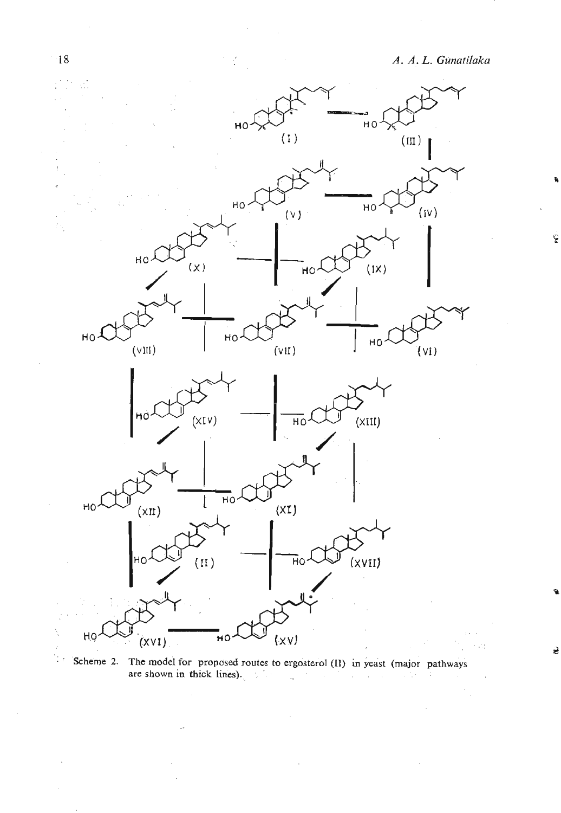ý



' Scheme **2. The model for proposed routes to ergosterol (11)** in **yeast** (major **pathways are shown in thick lines).** '  $\cdot$ 

 $-18$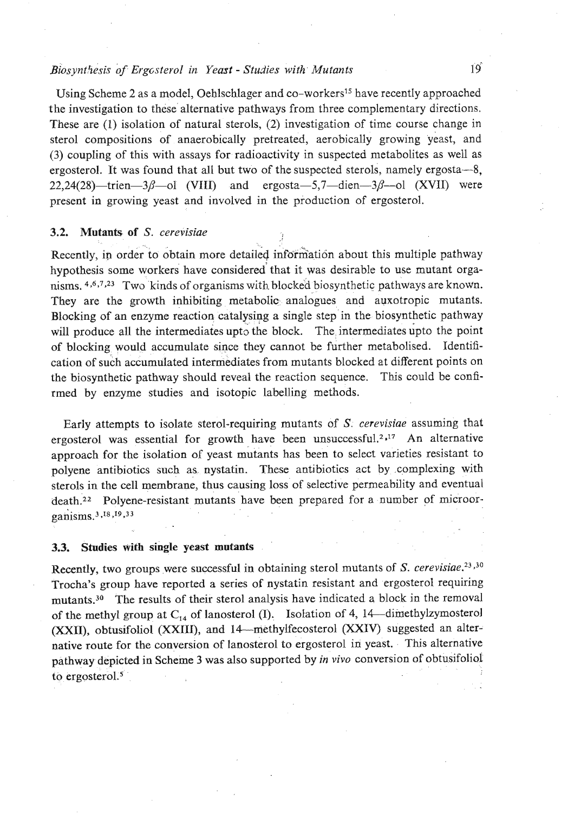### Biosynthesis of Ergcsterol in Yeast - Studies with Mutants 19<sup>5</sup>

Using Scheme 2 as a model, Oehlschlager and co-workers<sup>15</sup> have recently approached the investigation to these alternative pathways from three complementary directions. These are (1) isolation of natural sterols, (2) investigation of time course change in sterol compositions of anaerobically pretreated, aerobically growing yeast, and (3) coupling of this with assays for radioactivity in suspected metabolites as well as ergosterol. It was found that all but two of the suspected sterols, namely ergosta-8,  $22,24(28)$ -trien- $3\beta$ -ol (VIII) and ergosta-5,7-dien- $3\beta$ -ol (XVII) were present in growing yeast and involved in the production of ergosterol.

### **3.2. Mutants of** *S.* cerevisiae

Recently, in order to obtain more detailed information about this multiple pathway hypothesis some workers have considered'that it was desirable to use mutant organisms. 4,6,7,23 **TWO** kinds of organisms with blocked biosynthetic pathways are known. They are the growth inhibiting metabolic analogues and auxotropic mutants. Blocking of an enzyme reaction catalysing a single step in the biosynthetic pathway will produce all the intermediates upto the block. The intermediates upto the point of blocking would accumulate since they cannot be further metabolised. Identification of such accumulated intermediates from mutants blocked at different points on the biosynthetic pathway should reveal the reaction sequence. This could be confirmed by enzyme studies and isotopic labelling methods.

Early attempts to isolate sterol-requiring mutants of *S.* cerevisiae assuming that ergosterol was essential for growth have been unsuccessful.<sup>2,17</sup> An alternative approach for the isolation of yeast mutants has been to select varieties resistant to polyene antibiotics such as nystatin. These antibiotics act by complexing with sterols in the cell membrane, thus causing loss of selective permeability and eventual death.<sup>22</sup> Polyene-resistant mutants have been prepared for a number of microorganisms.<sup>3</sup>,<sup>18</sup>,<sup>19</sup>,<sup>33</sup>

#### **3.3. Studies with single yeast mutants**

Recently, two groups were successful in obtaining sterol mutants of  $S.$  cerevisiae.<sup>23,30</sup> Trocha's group have reported a series of nystatin resistant and ergosterol requiring mutants.<sup>30</sup> The results of their sterol analysis have indicated a block in the removal of the methyl group at  $C_{14}$  of lanosterol (I). Isolation of 4, 14—dimethylzymosterol (XXII), obtusifoliol (XXIII), and 14--methylfecosterol (XXIV) suggested an alternative route for the conversion of lanosterol to ergosterol in yeast. This alternative pathway depicted in Scheme 3 was also supported by *in vivo* conversion of obtusifoliol to ergosterol. $5$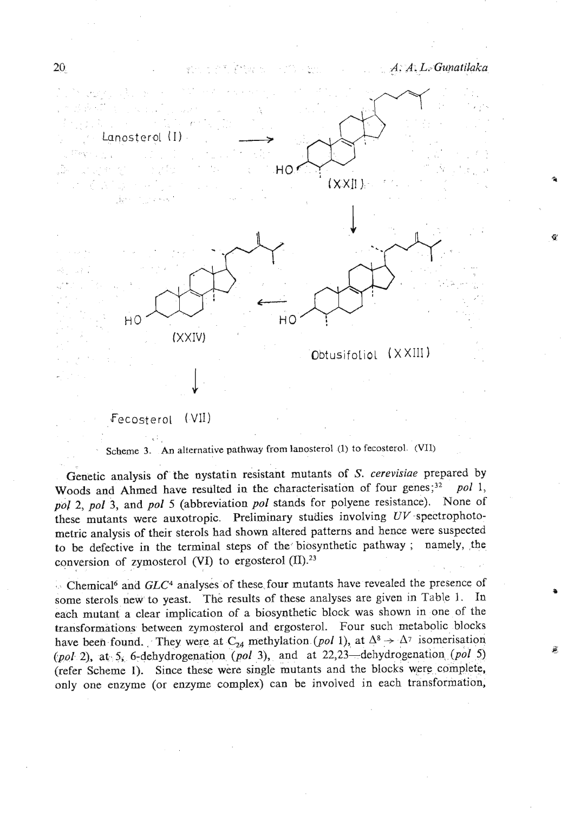**v** 



## Fecosterol (VII)  $\sim$

Scheme **3. An alternative pathway from lanosterol (1) to** fecosterol **(VII)** 

Genetic analysis of the nystatin resistant mutants of *S. cerevisiae* prepared by Woods and Ahmed have resulted in the characterisation of four genes;<sup>32</sup> pol 1, pol 2, pol 3, and pol 5 (abbreviation pol stands for polyene resistance). None of these mutants were auxotropic. Preliminary studies involving  $UV$  spectrophotometric analysis of their sterols had shown altered patterns and hence were suspected to be defective in the terminal steps of the biosynthetic pathway ; namely, the conversion of zymosterol **PI)** to ergosterol **(II).23** 

Chemical6 and *GLC4* analyses of these four mutants have revealed the presence of some sterols new to yeast. The results of these analyses are given in Table **1.** In each mutant a clear implication of a biosynthetic block was shown in one of the transformations between zymosterol and ergosterol. Four such metabolic blocks have been found. They were at  $C_{24}$  methylation (pol 1), at  $\Delta^8 \rightarrow \Delta^7$  isomerisation (pol 2), **a\$** 5, 6-dehydrogenation (pol 3), and at 22,23-dehydrogenation (pol 5) (refer Scheme **1).** Since these were single mutants and the blocks were complete, only one enzyme (or enzyme complex) can be involved in each transformation,

 $20<sup>°</sup>$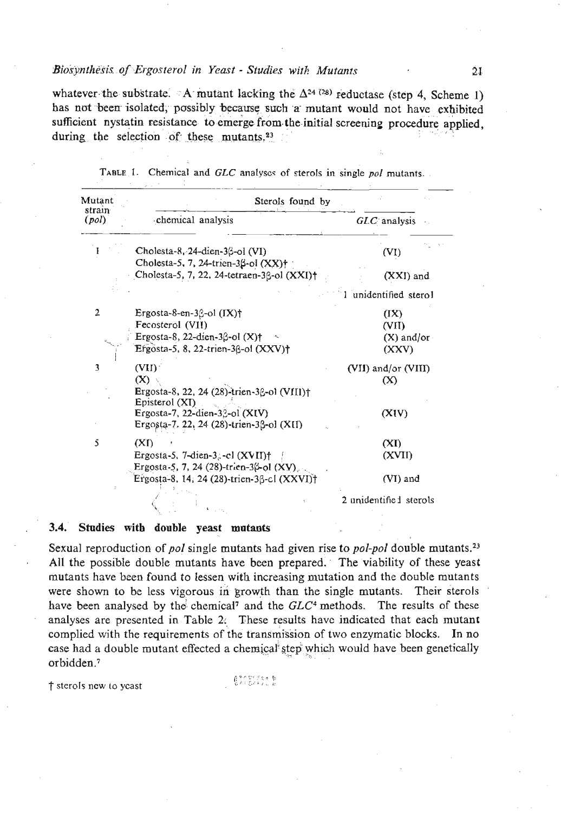#### Biosynthesis of Ergosterol in Yeast - Studies with Mutants

whatever the substrate. A mutant lacking the  $\Delta^{24}$  (28) reductase (step 4, Scheme 1) has not been isolated, possibly because such a mutant would not have exhibited sufficient nystatin resistance to emerge from the initial screening procedure applied. during the selection of these mutants.<sup>23</sup>

| Mutant<br>strain<br>(pol) | Sterols found by                                                                        |                         |
|---------------------------|-----------------------------------------------------------------------------------------|-------------------------|
|                           | chemical analysis                                                                       | $GLC$ analysis          |
|                           | Cholesta-8, 24-dien-3 $\beta$ -ol (VI)<br>Cholesta-5, 7, 24-trien-3 $\beta$ -ol (XX)† ; | (VI)                    |
|                           | Cholesta-5, 7, 22, 24-tetraen-3ß-ol (XXI)+                                              | $(XXI)$ and             |
|                           |                                                                                         | 1 unidentified stero1   |
| 2                         | Ergosta-8-en-3 $\beta$ -ol (IX)†                                                        | (IX)                    |
|                           | Fecosterol (VII)                                                                        | (VII)                   |
|                           | Ergosta-8, 22-dien-3 $\beta$ -ol (X) $\dagger$                                          | $(X)$ and/or $\cdot$    |
|                           | Ergosta-5, 8, 22-trien-3 $\beta$ -ol $(XXV)$ †                                          | (XXV)                   |
| 3                         | (VII)                                                                                   | (VII) and/or (VIII)     |
|                           | (X)                                                                                     | (X)                     |
|                           | Ergosta-8, 22, 24 (28)-trien-36-ol (VIII)†                                              |                         |
|                           | Episterol (XI)                                                                          |                         |
|                           | Ergosta-7, 22-dien-32-ol (XIV)                                                          | (XIV)                   |
|                           | Ergosta-7. 22, 24 (28)-trien-3β-ol (XII)                                                |                         |
| 5                         | (XI)                                                                                    | (XI)                    |
|                           | Ergosta-5, 7-dien-3,-el (XVII)†                                                         | (XVII)                  |
|                           | Ergosta-5, 7, 24 (28)-trien-3(-ol (XV)                                                  |                         |
|                           | Ergosta-8, 14; 24 (28)-trien-3β-cl (XXVI)†                                              | (VI) and                |
|                           |                                                                                         | 2 unidentifie 1 sterols |
|                           |                                                                                         |                         |

TABLE 1. Chemical and GLC analyses of sterols in single nol mutants.

#### Studies with double yeast mutants  $3.4.$

Sexual reproduction of pol single mutants had given rise to pol-pol double mutants.<sup>23</sup> All the possible double mutants have been prepared. The viability of these yeast mutants have been found to lessen with increasing mutation and the double mutants were shown to be less vigorous in growth than the single mutants. Their sterols have been analysed by the chemical<sup>7</sup> and the GLC<sup>4</sup> methods. The results of these analyses are presented in Table 2. These results have indicated that each mutant complied with the requirements of the transmission of two enzymatic blocks. In no case had a double mutant effected a chemical step which would have been genetically orbidden.<sup>7</sup>

† sterols new to yeast

 $-6.22222$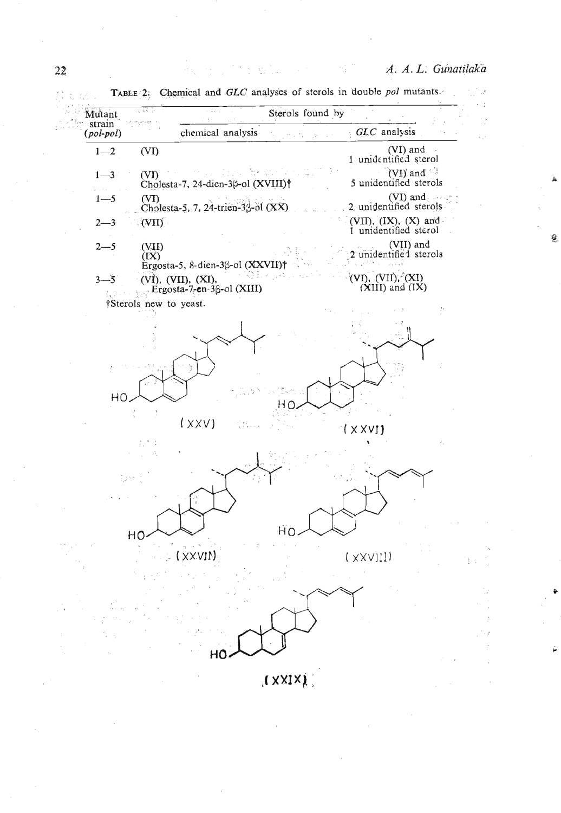Ø

**TANK START** 



经一些 不休的 经加工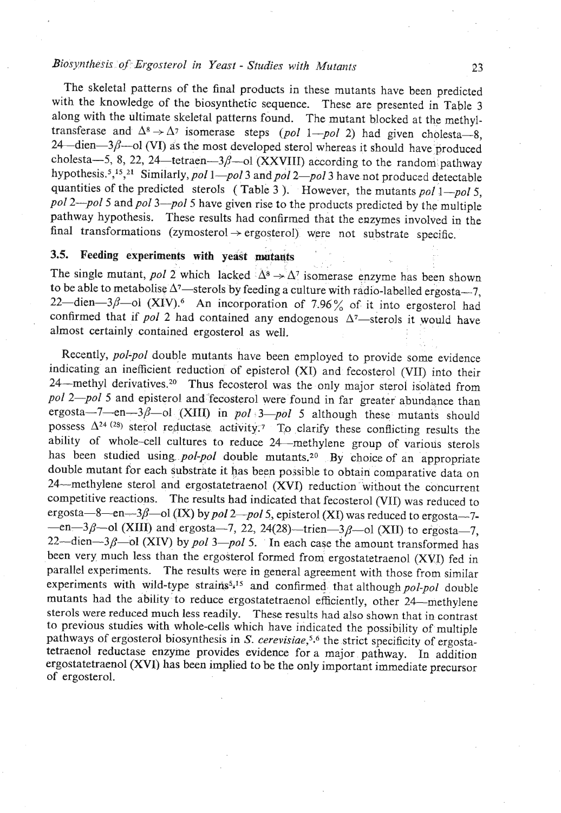### Biosynthesis of Ergosterol in Yeast - Studies with *Mutants* **23**

The skeletal patterns of the final products in these mutants have been predicted with the knowledge of the biosynthetic sequence. These are presented in Table 3 along with the ultimate skeletal patterns found. The mutant blocked at the methyltransferase and  $\Delta^8 \rightarrow \Delta^7$  isomerase steps (pol 1-pol 2) had given cholesta-8,  $24$  -dien- $3\beta$  --ol (VI) as the most developed sterol whereas it should have produced cholesta-5, 8, 22, 24-tetraen- $3\beta$ -ol (XXVIII) according to the random pathway hypothesis.<sup>5</sup>,<sup>15</sup>,<sup>21</sup> Similarly, pol 1—pol 3 and pol 2—pol 3 have not produced detectable quantities of the predicted sterols (Table 3). However, the mutants pol  $1-pol 5$ , pol 2-pol 5 and pol 3-pol 5 have given rise to the products predicted by the multiple pathway hypothesis. These results had confirmed that the enzymes involved in the final transformations (zymosterol  $\rightarrow$  ergosterol) were not substrate specific.

### **3.5. Feeding experiments with yeast matants**

The single mutant, pol 2 which lacked  $\Delta^8 \rightarrow \Delta^7$  isomerase enzyme has been shown to be able to metabolise  $\Delta^7$ —sterols by feeding a culture with radio-labelled ergosta—7, 22-dien-3 $\beta$ -ol (XIV).<sup>6</sup> An incorporation of 7.96% of it into ergosterol had confirmed that if pol 2 had contained any endogenous  $\Delta^7$ —sterols it would have almost certainly contained ergosterol as well.

Recently, pol-pol double mutants have been employed to provide some evidence indicating an inefficient reduction of episterol (XI) and fecosterol (VII) into their 24-methyl derivatives.<sup>20</sup> Thus fecosterol was the only major sterol isolated from pol 2-pol 5 and episterol and fecosterol were found in far greater abundance than ergosta-7-en-3 $\beta$ -ol (XIII) in pol 3-pol 5 although these mutants should possess  $\Delta^{24}$ <sup>(28)</sup> sterol reductase activity.<sup>7</sup> To clarify these conflicting results the ability of whole-cell cultures to reduce 24 -methylene group of various sterols has been studied using *pol-pol* double mutants.<sup>20</sup> By choice of an appropriate double mutant for each substrate it has been possible to obtain comparative data on 24-methylene sterol and ergostatetraenol (XVI) reduction 'without the concurrent competitive reactions. The results had indicated that fecosterol (VII) was reduced to ergosta-8-en-3 $\beta$ -ol (IX) by pol 2-pol 5, episterol (XI) was reduced to ergosta-7- $-$ en $-3\beta$ -ol (XIII) and ergosta $-7$ , 22, 24(28)-trien $-3\beta$ -ol (XII) to ergosta $-7$ , 22-dien-3 $\beta$ -ol (XIV) by pol 3-pol 5. In each case the amount transformed has been very much less than the ergosterol formed from ergostatetraenol (XVI) fed in parallel experiments. The results were in general agreement with those from similar experiments with wild-type strains<sup>5,15</sup> and confirmed that although pol-pol double mutants had the ability to reduce ergostatetraenol efficiently, other 24--methylene sterols were reduced much less readily. These results had also shown that in contrast to previous studies with whole-cells which have indicated the possibility of multiple pathways of ergosterol biosynthesis in *S. cerevisiae*,<sup>5,6</sup> the strict specificity of ergostatetraenol reductase enzyme provides evidence for a major pathway. In addition ergostatetraenol **(XV1)** has been implied to be the only important immediate precursor of ergosterol.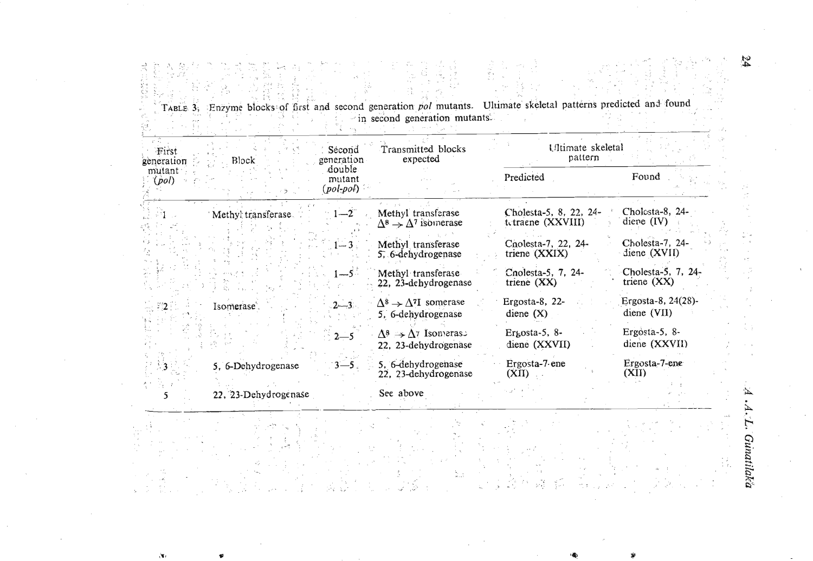TABLE 3, Enzyme blocks of first and second generation pol mutants. Ultimate skeletal patterns predicted and found<br>in second generation mutants. 학교 등 ۰.,

| First<br>zeneration<br>mutant:<br>(pol) | Block                | Second<br>generation<br>double<br>mutant<br>$(pol$ -pol $)$ | Transmitted blocks<br>expected                                    | Ultimate skeletal<br>pattern                |                                     |  |
|-----------------------------------------|----------------------|-------------------------------------------------------------|-------------------------------------------------------------------|---------------------------------------------|-------------------------------------|--|
|                                         |                      |                                                             |                                                                   | Predicted                                   | Found                               |  |
|                                         | Methyl transferase   | $1 - 2$                                                     | Methyl transferase<br>$\Delta^8 \rightarrow \Delta^7$ isomerase   | Cholesta-5, 8, 22, 24-<br>tetraene (XXVIII) | Cholosta-8, 24-<br>diene $(IV)$     |  |
|                                         |                      | $1 - 3$                                                     | Methyl transferase<br>5, 6-dehydrogenase                          | Cnolesta-7, 22, 24-<br>triene (XXIX)        | Cholesta-7, 24-<br>diene (XVII)     |  |
|                                         |                      | $-5$                                                        | Methyl transferase<br>22. 23-dehydrogenase                        | Cnolesta-5, 7, 24-<br>triene $(XX)$         | Cholesta-5, 7, 24-<br>triene $(XX)$ |  |
|                                         | Isomerase.           | $2 - 3$                                                     | $\Delta^8 \rightarrow \Delta^{7}I$ somerase<br>5, 6-dehydrogenase | Ergosta-8, $22-$<br>diene $(X)$             | Ergosta-8, 24(28)-<br>diene (VII)   |  |
|                                         |                      | $2 - 5$                                                     | $\Delta^8 \rightarrow \Delta^7$ Isomeras<br>22, 23-dehydrogenase  | $E$ r $\mu$ osta-5, 8-<br>diene (XXVII)     | Ergosta-5, 8-<br>diene (XXVII)      |  |
|                                         | 5. 6-Dehydrogenase   | -5                                                          | 5, 6-dehydrogenase<br>22, 23-dehydrogenase                        | Ergosta-7 ene<br>(XII)                      | Ergosta-7-ene<br>(XII)              |  |
|                                         | 22. 23-Dehydrogenase |                                                             | See above                                                         |                                             |                                     |  |
|                                         |                      |                                                             |                                                                   |                                             |                                     |  |

 $\sum_{\mathbf{x} \in \mathcal{A}}$ 

 $\sqrt{2}$ 

**Gunatilaka** 

Η,

A

 $\frac{24}{3}$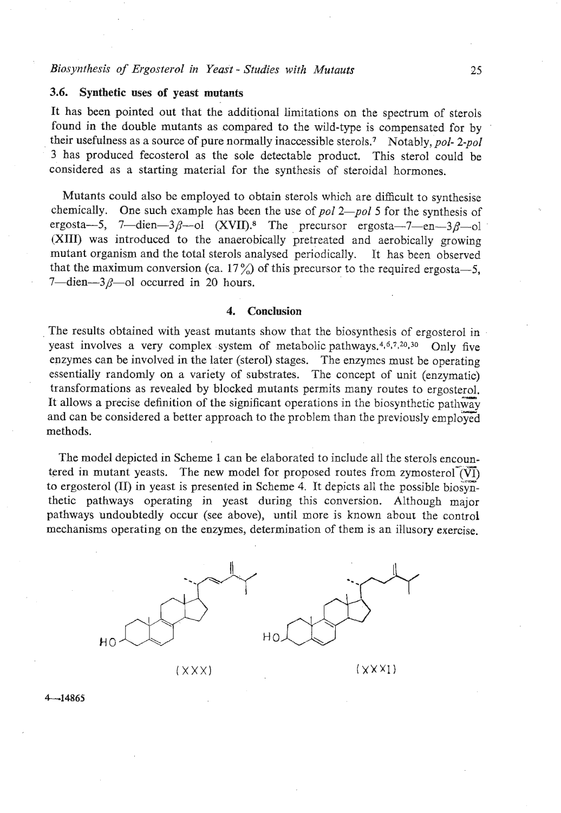#### **3.6. Synthetic uses of yeast mutants**

It has been pointed out that the additional limitations on the spectrum of sterols found in the double mutants as compared to the wild-type is compensated for by . their usefulness as a source of pure normally inaccessible sterol^.^ Notably, *pol- 2-pol*  **3** has produced fecosterol as the sole detectable product. This sterol could be considered as a starting material for the synthesis of steroidal hormones.

Mutants could also be employed to obtain sterols which are difficult to synthesise chemically. One such example has been the use of *pol 2-pol* 5 for the synthesis of ergosta-5, 7—dien-3 $\beta$ -ol (XVII).<sup>8</sup> The precursor ergosta-7-en-3 $\beta$ -ol (XIII) was introduced to the anaerobically pretreated and aerobically growing mutant organism and the total sterols analysed periodically. It has been observed that the maximum conversion (ca. 17%) of this precursor to the required ergosta-5, 7-dien- $-3\beta$ -ol occurred in 20 hours.

#### **4. Conclusion**

The results obtained with yeast mutants show that the biosynthesis of ergosterol in yeast involves a very complex system of metabolic pathways.<sup>4,6,7,20,30</sup> Only five enzymes can be involved in the later (sterol) stages. The enzymes must be operating essentially randomly on a variety of substrates. The concept of unit (enzymatic) transformations as revealed by blocked mutants permits many routes to ergosterol. It allows a precise definition of the significant operations in the biosynthetic pathway and can be considered a better approach to the problem than the previously employed methods.

The model depicted in Scheme 1 can be elaborated to include all the sterols encountered in mutant yeasts. The new model for proposed routes from zymosterol $\vec{v}(\vec{v})$ to ergosterol (II) in yeast is presented in Scheme 4. It depicts all the possible biosynthetic pathways operating in yeast during this conversion. Although major pathways undoubtedly occur (see above), until more is known about the control mechanisms operating on the enzymes, determination of them is an illusory exercise.





 $(XXX)$ 

 $(XXX)$ 

 $4 - 14865$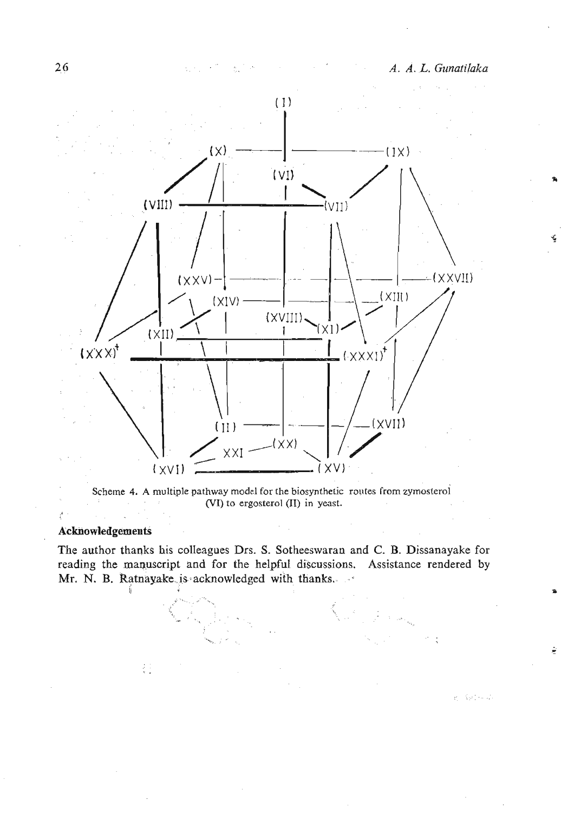ĝ

e Salmah



Scheme **4.** A multiple pathway model for the biosynihetic rontes **from** zyrnosterol **(VI)** to ergosterol **(11)** in yeast.

### **Acknowledgements**

Æ.

The author thanks his colleagues Drs. S. Sotheeswaran **and C.** B. Dissanayake for reading the manuscript and for the helpful discussions. Assistance rendered by Mr. N. B. Ratnayake is-acknowledged with thanks.

- **<sup>I</sup>**

岩

--.